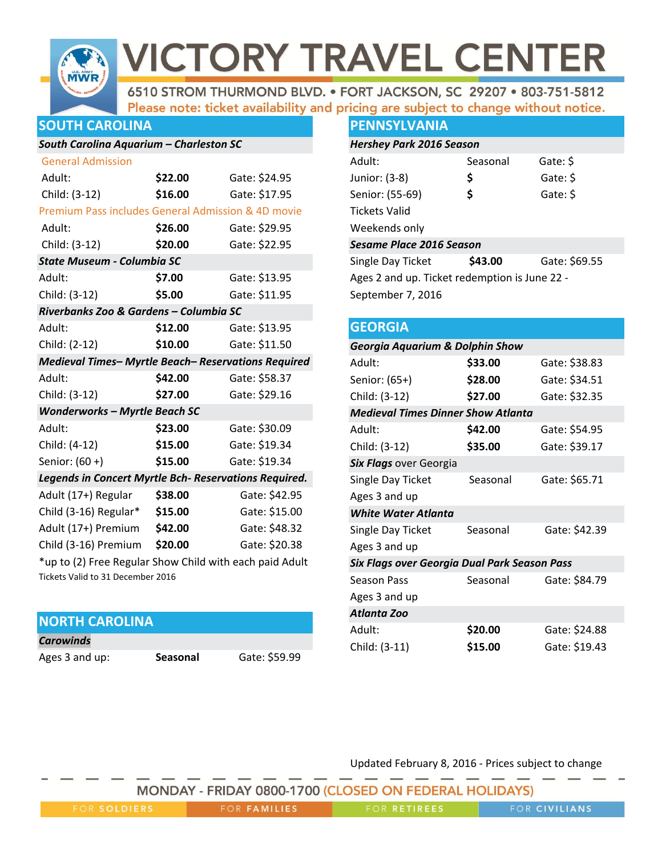

6510 STROM THURMOND BLVD. . FORT JACKSON, SC 29207 . 803-751-5812 Please note: ticket availability and pricing are subject to change without notice.

## **SOUTH CAROLINA**

## *South Carolina Aquarium – Charleston SC*

| <b>General Admission</b>                                |         |               |  |
|---------------------------------------------------------|---------|---------------|--|
| Adult:                                                  | \$22.00 | Gate: \$24.95 |  |
| Child: (3-12)                                           | \$16.00 | Gate: \$17.95 |  |
| Premium Pass includes General Admission & 4D movie      |         |               |  |
| Adult:                                                  | \$26.00 | Gate: \$29.95 |  |
| Child: (3-12)                                           | \$20.00 | Gate: \$22.95 |  |
| <b>State Museum - Columbia SC</b>                       |         |               |  |
| Adult:                                                  | \$7.00  | Gate: \$13.95 |  |
| Child: (3-12)                                           | \$5.00  | Gate: \$11.95 |  |
| Riverbanks Zoo & Gardens - Columbia SC                  |         |               |  |
| Adult:                                                  | \$12.00 | Gate: \$13.95 |  |
| Child: (2-12)                                           | \$10.00 | Gate: \$11.50 |  |
| Medieval Times- Myrtle Beach- Reservations Required     |         |               |  |
| Adult:                                                  | \$42.00 | Gate: \$58.37 |  |
| Child: (3-12)                                           | \$27.00 | Gate: \$29.16 |  |
| <b>Wonderworks - Myrtle Beach SC</b>                    |         |               |  |
| Adult:                                                  | \$23.00 | Gate: \$30.09 |  |
| Child: (4-12)                                           | \$15.00 | Gate: \$19.34 |  |
| Senior: (60+)                                           | \$15.00 | Gate: \$19.34 |  |
| Legends in Concert Myrtle Bch- Reservations Required.   |         |               |  |
| Adult (17+) Regular                                     | \$38.00 | Gate: \$42.95 |  |
| Child (3-16) Regular*                                   | \$15.00 | Gate: \$15.00 |  |
| Adult (17+) Premium                                     | \$42.00 | Gate: \$48.32 |  |
| Child (3-16) Premium                                    | \$20.00 | Gate: \$20.38 |  |
| *up to (2) Free Regular Show Child with each paid Adult |         |               |  |

 $\mathfrak{u}$ p to (2) Free Regular Sho Tickets Valid to 31 December 2016

# **NORTH CAROLINA**

| <b>Carowinds</b> |
|------------------|
|                  |

Ages 3 and up: **Seasonal** Gate: \$59.99

## **PENNSYLVANIA**

| <b>Hershey Park 2016 Season</b>               |          |               |  |  |
|-----------------------------------------------|----------|---------------|--|--|
| Adult:                                        | Seasonal | Gate: \$      |  |  |
| Junior: (3-8)                                 | \$       | Gate: \$      |  |  |
| Senior: (55-69)                               | \$       | Gate: \$      |  |  |
| Tickets Valid                                 |          |               |  |  |
| Weekends only                                 |          |               |  |  |
| <b>Sesame Place 2016 Season</b>               |          |               |  |  |
| Single Day Ticket                             | \$43.00  | Gate: \$69.55 |  |  |
| Ages 2 and up. Ticket redemption is June 22 - |          |               |  |  |
| September 7, 2016                             |          |               |  |  |

# **GEORGIA** *Georgia Aquarium & Dolphin Show*

| Adult:                                       | \$33.00  | Gate: \$38.83 |  |
|----------------------------------------------|----------|---------------|--|
| Senior: (65+)                                | \$28.00  | Gate: \$34.51 |  |
| Child: (3-12)                                | \$27.00  | Gate: \$32.35 |  |
| <b>Medieval Times Dinner Show Atlanta</b>    |          |               |  |
| Adult:                                       | \$42.00  | Gate: \$54.95 |  |
| Child: (3-12)                                | \$35.00  | Gate: \$39.17 |  |
| Six Flags over Georgia                       |          |               |  |
| Single Day Ticket                            | Seasonal | Gate: \$65.71 |  |
| Ages 3 and up                                |          |               |  |
| <b>White Water Atlanta</b>                   |          |               |  |
| Single Day Ticket                            | Seasonal | Gate: \$42.39 |  |
| Ages 3 and up                                |          |               |  |
| Six Flags over Georgia Dual Park Season Pass |          |               |  |
| <b>Season Pass</b>                           | Seasonal | Gate: \$84.79 |  |
| Ages 3 and up                                |          |               |  |
| Atlanta Zoo                                  |          |               |  |
| Adult:                                       | \$20.00  | Gate: \$24.88 |  |
| Child: (3-11)                                | \$15.00  | Gate: \$19.43 |  |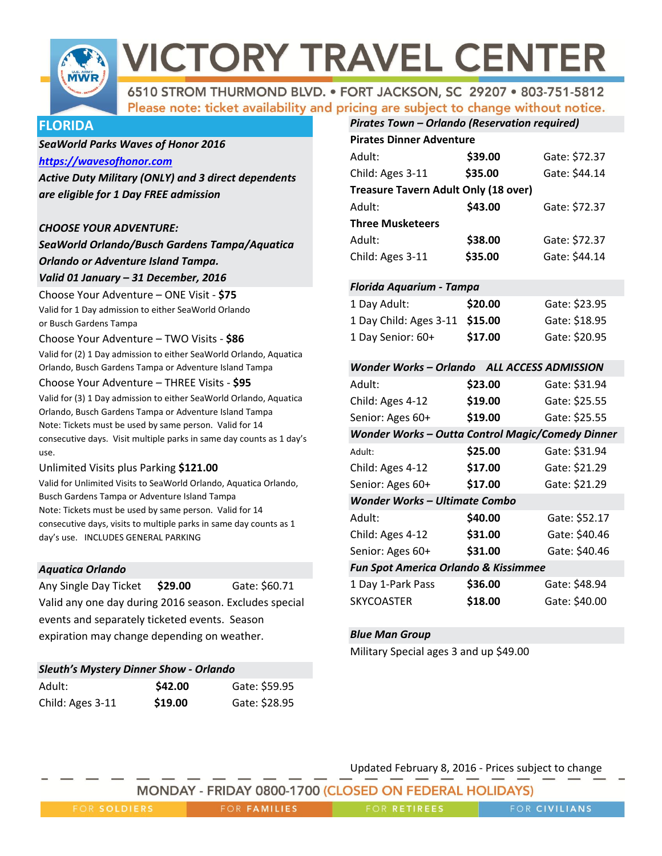

6510 STROM THURMOND BLVD. . FORT JACKSON, SC 29207 . 803-751-5812 Please note: ticket availability and pricing are subject to change without notice.

## **FLORIDA**

#### *SeaWorld Parks Waves of Honor 2016*

#### *[https://wavesofhonor.com](https://wavesofhonor.com/)*

*Active Duty Military (ONLY) and 3 direct dependents are eligible for 1 Day FREE admission* 

#### *CHOOSE YOUR ADVENTURE:*

*SeaWorld Orlando/Busch Gardens Tampa/Aquatica Orlando or Adventure Island Tampa.*

# *Valid 01 January – 31 December, 2016*

Choose Your Adventure – ONE Visit - **\$75** Valid for 1 Day admission to either SeaWorld Orlando or Busch Gardens Tampa

#### Choose Your Adventure – TWO Visits - **\$86**

Valid for (2) 1 Day admission to either SeaWorld Orlando, Aquatica Orlando, Busch Gardens Tampa or Adventure Island Tampa

#### Choose Your Adventure – THREE Visits - **\$95**

Valid for (3) 1 Day admission to either SeaWorld Orlando, Aquatica Orlando, Busch Gardens Tampa or Adventure Island Tampa Note: Tickets must be used by same person. Valid for 14 consecutive days. Visit multiple parks in same day counts as 1 day's use.

#### Unlimited Visits plus Parking **\$121.00**

Valid for Unlimited Visits to SeaWorld Orlando, Aquatica Orlando, Busch Gardens Tampa or Adventure Island Tampa Note: Tickets must be used by same person. Valid for 14 consecutive days, visits to multiple parks in same day counts as 1 day's use. INCLUDES GENERAL PARKING

#### *Aquatica Orlando*

| Any Single Day Ticket \$29.00                          |  |  | Gate: \$60.71 |  |
|--------------------------------------------------------|--|--|---------------|--|
| Valid any one day during 2016 season. Excludes special |  |  |               |  |
| events and separately ticketed events. Season          |  |  |               |  |
| expiration may change depending on weather.            |  |  |               |  |

| <b>Sleuth's Mystery Dinner Show - Orlando</b> |         |               |  |
|-----------------------------------------------|---------|---------------|--|
| Adult:                                        | \$42.00 | Gate: \$59.95 |  |
| Child: Ages 3-11                              | \$19.00 | Gate: \$28.95 |  |

| Pirates Town - Orlando (Reservation required) |         |               |  |
|-----------------------------------------------|---------|---------------|--|
| <b>Pirates Dinner Adventure</b>               |         |               |  |
| Adult:                                        | \$39.00 | Gate: \$72.37 |  |
| Child: Ages 3-11                              | \$35.00 | Gate: \$44.14 |  |
| <b>Treasure Tavern Adult Only (18 over)</b>   |         |               |  |
| Adult:                                        | \$43.00 | Gate: \$72.37 |  |
| <b>Three Musketeers</b>                       |         |               |  |
| Adult:                                        | \$38.00 | Gate: \$72.37 |  |
| Child: Ages 3-11                              | \$35.00 | Gate: \$44.14 |  |

#### *Florida Aquarium - Tampa*

| 1 Day Adult:                   | \$20.00 | Gate: \$23.95 |
|--------------------------------|---------|---------------|
| 1 Day Child: Ages 3-11 \$15.00 |         | Gate: \$18.95 |
| 1 Day Senior: 60+              | \$17.00 | Gate: \$20.95 |

| Wonder Works – Orlando ALL ACCESS ADMISSION             |         |               |  |
|---------------------------------------------------------|---------|---------------|--|
| Adult:                                                  | \$23.00 | Gate: \$31.94 |  |
| Child: Ages 4-12                                        | \$19.00 | Gate: \$25.55 |  |
| Senior: Ages 60+                                        | \$19.00 | Gate: \$25.55 |  |
| <b>Wonder Works - Outta Control Magic/Comedy Dinner</b> |         |               |  |
| Adult:                                                  | \$25.00 | Gate: \$31.94 |  |
| Child: Ages 4-12                                        | \$17.00 | Gate: \$21.29 |  |
| Senior: Ages 60+                                        | \$17.00 | Gate: \$21.29 |  |
| <b>Wonder Works - Ultimate Combo</b>                    |         |               |  |
| Adult:                                                  | \$40.00 | Gate: \$52.17 |  |
| Child: Ages 4-12                                        | \$31.00 | Gate: \$40.46 |  |
| Senior: Ages 60+                                        | \$31.00 | Gate: \$40.46 |  |
| <b>Fun Spot America Orlando &amp; Kissimmee</b>         |         |               |  |
| 1 Day 1-Park Pass                                       | \$36.00 | Gate: \$48.94 |  |
| <b>SKYCOASTER</b>                                       | \$18.00 | Gate: \$40.00 |  |

#### *Blue Man Group*

Military Special ages 3 and up \$49.00

| MONDAY - FRIDAY 0800-1700 (CLOSED ON FEDERAL HOLIDAYS) |                     |                     |                      |
|--------------------------------------------------------|---------------------|---------------------|----------------------|
| FOR SOLDIERS                                           | <b>FOR FAMILIES</b> | <b>FOR RETIREES</b> | <b>FOR CIVILIANS</b> |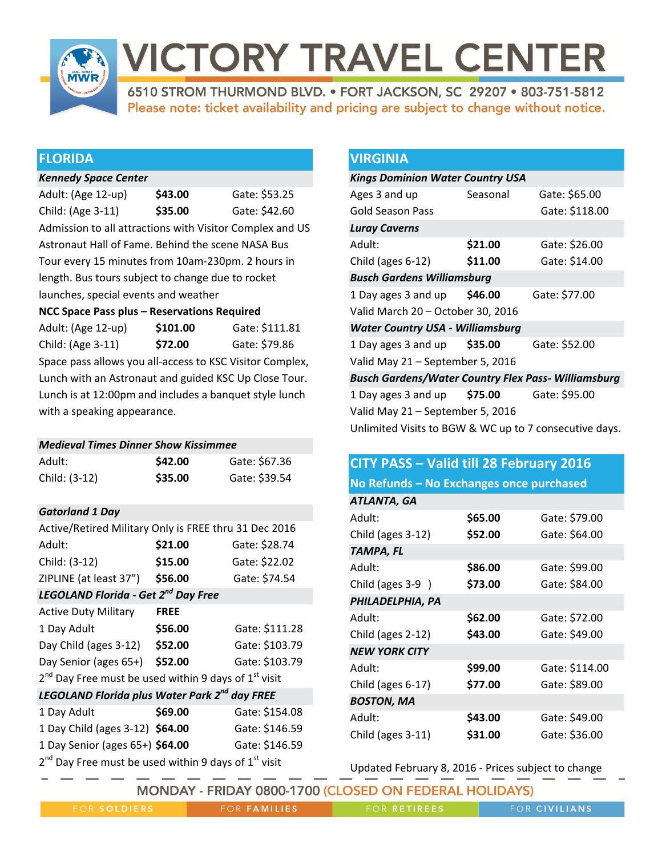

6510 STROM THURMOND BLVD. . FORT JACKSON, SC 29207 . 803-751-5812 Please note: ticket availability and pricing are subject to change without notice.

## **FLORIDA**

### *Kennedy Space Center*

Adult: (Age 12-up) **\$43.00** Gate: \$53.25 Child: (Age 3-11) **\$35.00** Gate: \$42.60 Admission to all attractions with Visitor Complex and US Astronaut Hall of Fame. Behind the scene NASA Bus Tour every 15 minutes from 10am-230pm. 2 hours in length. Bus tours subject to change due to rocket launches, special events and weather

## **NCC Space Pass plus – Reservations Required**

| Adult: (Age 12-up)                                       | \$101.00 | Gate: \$111.81 |
|----------------------------------------------------------|----------|----------------|
| Child: (Age 3-11)                                        | \$72.00  | Gate: \$79.86  |
| Space pass allows you all-access to KSC Visitor Complex, |          |                |
| Lunch with an Astronaut and guided KSC Up Close Tour.    |          |                |
| Lunch is at 12:00pm and includes a banquet style lunch   |          |                |
| with a speaking appearance.                              |          |                |

## *Medieval Times Dinner Show Kissimmee*

| Adult:        | \$42.00 | Gate: \$67.36 |
|---------------|---------|---------------|
| Child: (3-12) | \$35.00 | Gate: \$39.54 |

## *Gatorland 1 Day*

| Active/Retired Military Only is FREE thru 31 Dec 2016                                                                                                                                                                               |             |                |  |
|-------------------------------------------------------------------------------------------------------------------------------------------------------------------------------------------------------------------------------------|-------------|----------------|--|
| Adult:                                                                                                                                                                                                                              | \$21.00     | Gate: \$28.74  |  |
| Child: (3-12)                                                                                                                                                                                                                       | \$15.00     | Gate: \$22.02  |  |
| ZIPLINE (at least 37")                                                                                                                                                                                                              | \$56.00     | Gate: \$74.54  |  |
| <b>LEGOLAND Florida - Get 2<sup>nd</sup> Day Free</b>                                                                                                                                                                               |             |                |  |
| <b>Active Duty Military</b>                                                                                                                                                                                                         | <b>FREE</b> |                |  |
| 1 Day Adult                                                                                                                                                                                                                         | \$56.00     | Gate: \$111.28 |  |
| Day Child (ages 3-12)                                                                                                                                                                                                               | \$52.00     | Gate: \$103.79 |  |
| Day Senior (ages 65+)                                                                                                                                                                                                               | \$52.00     | Gate: \$103.79 |  |
| 2 <sup>nd</sup> Day Free must be used within 9 days of 1 <sup>st</sup> visit                                                                                                                                                        |             |                |  |
| LEGOLAND Florida plus Water Park 2 <sup>nd</sup> day FREE                                                                                                                                                                           |             |                |  |
| 1 Day Adult                                                                                                                                                                                                                         | \$69.00     | Gate: \$154.08 |  |
| 1 Day Child (ages 3-12) \$64.00                                                                                                                                                                                                     |             | Gate: \$146.59 |  |
| 1 Day Senior (ages 65+) \$64.00                                                                                                                                                                                                     |             | Gate: \$146.59 |  |
| $\sim$ nd $\sim$ . Fig. to the set of the set of the set of the set of $\sim$ set of the set of the set of the set of the set of the set of the set of the set of the set of the set of the set of the set of the set of the set of |             |                |  |

2 Day Free must be used within 9 days of  $1^\circ$  visit

## **VIRGINIA**

| <b>Kings Dominion Water Country USA</b>                    |          |                |  |
|------------------------------------------------------------|----------|----------------|--|
| Ages 3 and up                                              | Seasonal | Gate: \$65.00  |  |
| Gold Season Pass                                           |          | Gate: \$118.00 |  |
| <b>Luray Caverns</b>                                       |          |                |  |
| Adult:                                                     | \$21.00  | Gate: \$26.00  |  |
| Child (ages 6-12)                                          | \$11.00  | Gate: \$14.00  |  |
| <b>Busch Gardens Williamsburg</b>                          |          |                |  |
| 1 Day ages 3 and up \$46.00                                |          | Gate: \$77.00  |  |
| Valid March 20 – October 30, 2016                          |          |                |  |
| <b>Water Country USA - Williamsburg</b>                    |          |                |  |
| 1 Day ages 3 and up \$35.00                                |          | Gate: \$52.00  |  |
| Valid May 21 - September 5, 2016                           |          |                |  |
| <b>Busch Gardens/Water Country Flex Pass- Williamsburg</b> |          |                |  |
| 1 Day ages 3 and up \$75.00                                |          | Gate: \$95.00  |  |
| Valid May 21 - September 5, 2016                           |          |                |  |
| Unlimited Visits to BGW & WC up to 7 consecutive days.     |          |                |  |
|                                                            |          |                |  |

# **CITY PASS – Valid till 28 February 2016 No Refunds – No Exchanges once purchased** *ATLANTA, GA*  Adult: **\$65.00** Gate: \$79.00 Child (ages 3-12) **\$52.00** Gate: \$64.00 *TAMPA, FL* Adult: **\$86.00** Gate: \$99.00 Child (ages 3-9 ) **\$73.00** Gate: \$84.00 *PHILADELPHIA, PA* Adult: **\$62.00** Gate: \$72.00 Child (ages 2-12) **\$43.00** Gate: \$49.00 *NEW YORK CITY* Adult: **\$99.00** Gate: \$114.00 Child (ages 6-17) **\$77.00** Gate: \$89.00 *BOSTON, MA*

| <b>DUSIUN, IVIM</b> |         |               |
|---------------------|---------|---------------|
| Adult:              | \$43.00 | Gate: \$49.00 |
| Child (ages 3-11)   | \$31.00 | Gate: \$36.00 |

| MONDAY - FRIDAY 0800-1700 (CLOSED ON FEDERAL HOLIDAYS) |                     |                     |                      |
|--------------------------------------------------------|---------------------|---------------------|----------------------|
| <b>FOR SOLDIERS</b>                                    | <b>FOR FAMILIES</b> | <b>FOR RETIREES</b> | <b>FOR CIVILIANS</b> |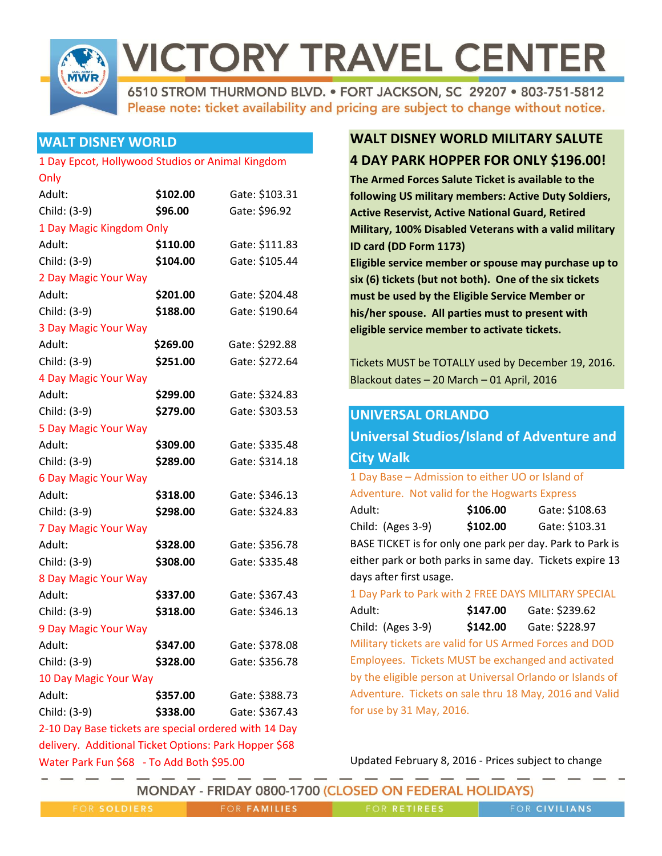

6510 STROM THURMOND BLVD. . FORT JACKSON, SC 29207 . 803-751-5812 Please note: ticket availability and pricing are subject to change without notice.

# **WALT DISNEY WORLD**

### 1 Day Epcot, Hollywood Studios or Animal Kingdom

| Only                                                  |          |                |  |
|-------------------------------------------------------|----------|----------------|--|
| Adult:                                                | \$102.00 | Gate: \$103.31 |  |
| Child: (3-9)                                          | \$96.00  | Gate: \$96.92  |  |
| 1 Day Magic Kingdom Only                              |          |                |  |
| Adult:                                                | \$110.00 | Gate: \$111.83 |  |
| Child: (3-9)                                          | \$104.00 | Gate: \$105.44 |  |
| 2 Day Magic Your Way                                  |          |                |  |
| Adult:                                                | \$201.00 | Gate: \$204.48 |  |
| Child: (3-9)                                          | \$188.00 | Gate: \$190.64 |  |
| 3 Day Magic Your Way                                  |          |                |  |
| Adult:                                                | \$269.00 | Gate: \$292.88 |  |
| Child: (3-9)                                          | \$251.00 | Gate: \$272.64 |  |
| 4 Day Magic Your Way                                  |          |                |  |
| Adult:                                                | \$299.00 | Gate: \$324.83 |  |
| Child: (3-9)                                          | \$279.00 | Gate: \$303.53 |  |
| 5 Day Magic Your Way                                  |          |                |  |
| Adult:                                                | \$309.00 | Gate: \$335.48 |  |
| Child: (3-9)                                          | \$289.00 | Gate: \$314.18 |  |
| <b>6 Day Magic Your Way</b>                           |          |                |  |
| Adult:                                                | \$318.00 | Gate: \$346.13 |  |
| Child: (3-9)                                          | \$298.00 | Gate: \$324.83 |  |
| 7 Day Magic Your Way                                  |          |                |  |
| Adult:                                                | \$328.00 | Gate: \$356.78 |  |
| Child: (3-9)                                          | \$308.00 | Gate: \$335.48 |  |
| 8 Day Magic Your Way                                  |          |                |  |
| Adult:                                                | \$337.00 | Gate: \$367.43 |  |
| Child: (3-9)                                          | \$318.00 | Gate: \$346.13 |  |
| 9 Day Magic Your Way                                  |          |                |  |
| Adult:                                                | \$347.00 | Gate: \$378.08 |  |
| Child: (3-9)                                          | \$328.00 | Gate: \$356.78 |  |
| 10 Day Magic Your Way                                 |          |                |  |
| Adult:                                                | \$357.00 | Gate: \$388.73 |  |
| Child: (3-9)                                          | \$338.00 | Gate: \$367.43 |  |
| 2-10 Day Base tickets are special ordered with 14 Day |          |                |  |
| delivery. Additional Ticket Options: Park Hopper \$68 |          |                |  |

Water Park Fun \$68 - To Add Both \$95.00

# **WALT DISNEY WORLD MILITARY SALUTE 4 DAY PARK HOPPER FOR ONLY \$196.00!**

**The Armed Forces Salute Ticket is available to the following US military members: Active Duty Soldiers, Active Reservist, Active National Guard, Retired Military, 100% Disabled Veterans with a valid military ID card (DD Form 1173)**

**Eligible service member or spouse may purchase up to six (6) tickets (but not both). One of the six tickets must be used by the Eligible Service Member or his/her spouse. All parties must to present with eligible service member to activate tickets.**

Tickets MUST be TOTALLY used by December 19, 2016. Blackout dates – 20 March – 01 April, 2016

# **UNIVERSAL ORLANDO**

| <b>Universal Studios/Island of Adventure and</b>          |          |                |
|-----------------------------------------------------------|----------|----------------|
| <b>City Walk</b>                                          |          |                |
| 1 Day Base - Admission to either UO or Island of          |          |                |
| Adventure. Not valid for the Hogwarts Express             |          |                |
| :Adult                                                    | \$106.00 | Gate: \$108.63 |
| Child: (Ages 3-9)                                         | \$102.00 | Gate: \$103.31 |
| BASE TICKET is for only one park per day. Park to Park is |          |                |
| either park or both parks in same day. Tickets expire 13  |          |                |
| days after first usage.                                   |          |                |
| 1 Day Park to Park with 2 FREE DAYS MILITARY SPECIAL      |          |                |
| Adult:                                                    | \$147.00 | Gate: \$239.62 |
| Child: (Ages 3-9)                                         | \$142.00 | Gate: \$228.97 |
| Military tickets are valid for US Armed Forces and DOD    |          |                |
| Employees. Tickets MUST be exchanged and activated        |          |                |

by the eligible person at Universal Orlando or Islands of Adventure. Tickets on sale thru 18 May, 2016 and Valid for use by 31 May, 2016.